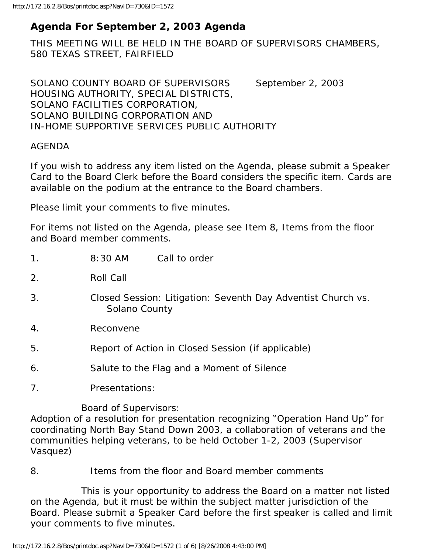# **Agenda For September 2, 2003 Agenda**

THIS MEETING WILL BE HELD IN THE BOARD OF SUPERVISORS CHAMBERS, 580 TEXAS STREET, FAIRFIELD

SOLANO COUNTY BOARD OF SUPERVISORS September 2, 2003 HOUSING AUTHORITY, SPECIAL DISTRICTS, SOLANO FACILITIES CORPORATION, SOLANO BUILDING CORPORATION AND IN-HOME SUPPORTIVE SERVICES PUBLIC AUTHORITY

#### AGENDA

If you wish to address any item listed on the Agenda, please submit a Speaker Card to the Board Clerk before the Board considers the specific item. Cards are available on the podium at the entrance to the Board chambers.

Please limit your comments to five minutes.

For items not listed on the Agenda, please see Item 8, Items from the floor and Board member comments.

| 1 <sub>1</sub>   | $8:30$ AM<br>Call to order                                                    |
|------------------|-------------------------------------------------------------------------------|
| 2.               | <b>Roll Call</b>                                                              |
| 3.               | Closed Session: Litigation: Seventh Day Adventist Church vs.<br>Solano County |
| $\overline{4}$ . | Reconvene                                                                     |
| 5.               | Report of Action in Closed Session (if applicable)                            |
| 6.               | Salute to the Flag and a Moment of Silence                                    |
| 7.               | Presentations:                                                                |

Board of Supervisors:

Adoption of a resolution for presentation recognizing "Operation Hand Up" for coordinating North Bay Stand Down 2003, a collaboration of veterans and the communities helping veterans, to be held October 1-2, 2003 (Supervisor Vasquez)

8. Items from the floor and Board member comments

 This is your opportunity to address the Board on a matter not listed on the Agenda, but it must be within the subject matter jurisdiction of the Board. Please submit a Speaker Card before the first speaker is called and limit your comments to five minutes.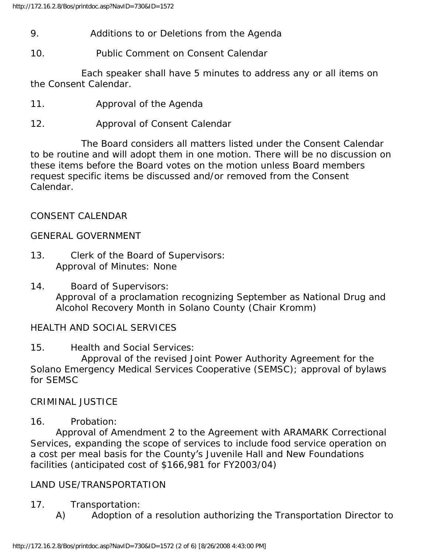# 9. Additions to or Deletions from the Agenda

10. Public Comment on Consent Calendar

 Each speaker shall have 5 minutes to address any or all items on the Consent Calendar.

- 11. Approval of the Agenda
- 12. Approval of Consent Calendar

 The Board considers all matters listed under the Consent Calendar to be routine and will adopt them in one motion. There will be no discussion on these items before the Board votes on the motion unless Board members request specific items be discussed and/or removed from the Consent Calendar.

#### CONSENT CALENDAR

#### GENERAL GOVERNMENT

- 13. Clerk of the Board of Supervisors: Approval of Minutes: None
- 14. Board of Supervisors: Approval of a proclamation recognizing September as National Drug and Alcohol Recovery Month in Solano County (Chair Kromm)

#### HEALTH AND SOCIAL SERVICES

15. Health and Social Services:

 Approval of the revised Joint Power Authority Agreement for the Solano Emergency Medical Services Cooperative (SEMSC); approval of bylaws for SEMSC

CRIMINAL JUSTICE

#### 16. Probation:

 Approval of Amendment 2 to the Agreement with ARAMARK Correctional Services, expanding the scope of services to include food service operation on a cost per meal basis for the County's Juvenile Hall and New Foundations facilities (anticipated cost of \$166,981 for FY2003/04)

#### LAND USE/TRANSPORTATION

- 17. Transportation:
	- A) Adoption of a resolution authorizing the Transportation Director to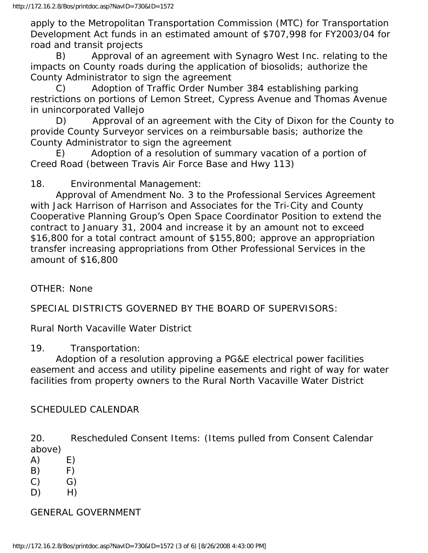apply to the Metropolitan Transportation Commission (MTC) for Transportation Development Act funds in an estimated amount of \$707,998 for FY2003/04 for road and transit projects

 B) Approval of an agreement with Synagro West Inc. relating to the impacts on County roads during the application of biosolids; authorize the County Administrator to sign the agreement

 C) Adoption of Traffic Order Number 384 establishing parking restrictions on portions of Lemon Street, Cypress Avenue and Thomas Avenue in unincorporated Vallejo

 D) Approval of an agreement with the City of Dixon for the County to provide County Surveyor services on a reimbursable basis; authorize the County Administrator to sign the agreement

 E) Adoption of a resolution of summary vacation of a portion of Creed Road (between Travis Air Force Base and Hwy 113)

18. Environmental Management:

 Approval of Amendment No. 3 to the Professional Services Agreement with Jack Harrison of Harrison and Associates for the Tri-City and County Cooperative Planning Group's Open Space Coordinator Position to extend the contract to January 31, 2004 and increase it by an amount not to exceed \$16,800 for a total contract amount of \$155,800; approve an appropriation transfer increasing appropriations from Other Professional Services in the amount of \$16,800

OTHER: None

SPECIAL DISTRICTS GOVERNED BY THE BOARD OF SUPERVISORS:

Rural North Vacaville Water District

19. Transportation:

 Adoption of a resolution approving a PG&E electrical power facilities easement and access and utility pipeline easements and right of way for water facilities from property owners to the Rural North Vacaville Water District

#### SCHEDULED CALENDAR

20. Rescheduled Consent Items: (Items pulled from Consent Calendar above)

- $(A)$  E)
- $(B)$  F)
- $(C)$   $G)$
- $D)$  H)

### GENERAL GOVERNMENT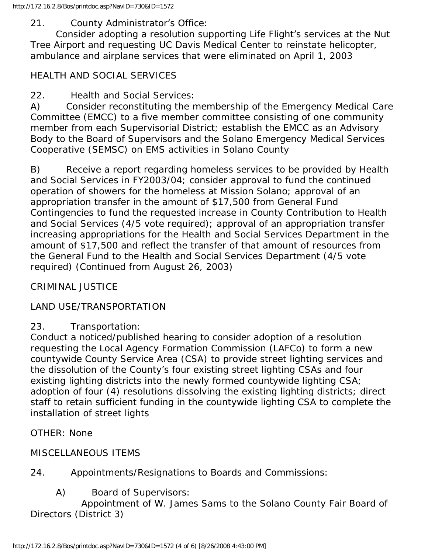### 21. County Administrator's Office:

 Consider adopting a resolution supporting Life Flight's services at the Nut Tree Airport and requesting UC Davis Medical Center to reinstate helicopter, ambulance and airplane services that were eliminated on April 1, 2003

# HEALTH AND SOCIAL SERVICES

22. Health and Social Services:

A) Consider reconstituting the membership of the Emergency Medical Care Committee (EMCC) to a five member committee consisting of one community member from each Supervisorial District; establish the EMCC as an Advisory Body to the Board of Supervisors and the Solano Emergency Medical Services Cooperative (SEMSC) on EMS activities in Solano County

B) Receive a report regarding homeless services to be provided by Health and Social Services in FY2003/04; consider approval to fund the continued operation of showers for the homeless at Mission Solano; approval of an appropriation transfer in the amount of \$17,500 from General Fund Contingencies to fund the requested increase in County Contribution to Health and Social Services (4/5 vote required); approval of an appropriation transfer increasing appropriations for the Health and Social Services Department in the amount of \$17,500 and reflect the transfer of that amount of resources from the General Fund to the Health and Social Services Department (4/5 vote required) (Continued from August 26, 2003)

CRIMINAL JUSTICE

### LAND USE/TRANSPORTATION

### 23. Transportation:

Conduct a noticed/published hearing to consider adoption of a resolution requesting the Local Agency Formation Commission (LAFCo) to form a new countywide County Service Area (CSA) to provide street lighting services and the dissolution of the County's four existing street lighting CSAs and four existing lighting districts into the newly formed countywide lighting CSA; adoption of four (4) resolutions dissolving the existing lighting districts; direct staff to retain sufficient funding in the countywide lighting CSA to complete the installation of street lights

OTHER: None

### MISCELLANEOUS ITEMS

24. Appointments/Resignations to Boards and Commissions:

A) Board of Supervisors:

 Appointment of W. James Sams to the Solano County Fair Board of Directors (District 3)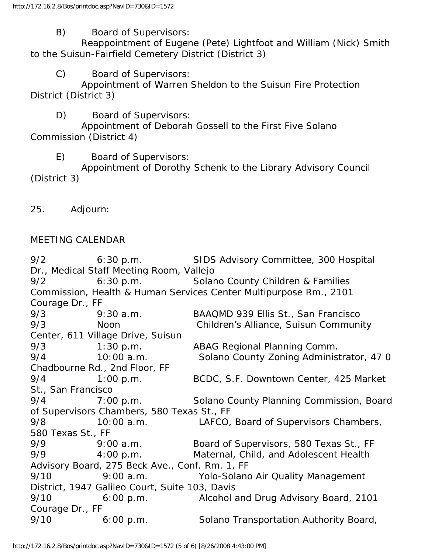B) Board of Supervisors:

 Reappointment of Eugene (Pete) Lightfoot and William (Nick) Smith to the Suisun-Fairfield Cemetery District (District 3)

C) Board of Supervisors:

 Appointment of Warren Sheldon to the Suisun Fire Protection District (District 3)

D) Board of Supervisors:

 Appointment of Deborah Gossell to the First Five Solano Commission (District 4)

E) Board of Supervisors:

 Appointment of Dorothy Schenk to the Library Advisory Council (District 3)

25. Adjourn:

#### MEETING CALENDAR

9/2 6:30 p.m. SIDS Advisory Committee, 300 Hospital Dr., Medical Staff Meeting Room, Vallejo 9/2 6:30 p.m. Solano County Children & Families Commission, Health & Human Services Center Multipurpose Rm., 2101 Courage Dr., FF 9/3 9:30 a.m. BAAQMD 939 Ellis St., San Francisco 9/3 Noon Children's Alliance, Suisun Community Center, 611 Village Drive, Suisun 9/3 1:30 p.m. ABAG Regional Planning Comm. 9/4 10:00 a.m. Solano County Zoning Administrator, 47 0 Chadbourne Rd., 2nd Floor, FF 9/4 1:00 p.m. BCDC, S.F. Downtown Center, 425 Market St., San Francisco 9/4 7:00 p.m. Solano County Planning Commission, Board of Supervisors Chambers, 580 Texas St., FF 9/8 10:00 a.m. LAFCO, Board of Supervisors Chambers, 580 Texas St., FF 9/9 9:00 a.m. Board of Supervisors, 580 Texas St., FF 9/9 4:00 p.m. Maternal, Child, and Adolescent Health Advisory Board, 275 Beck Ave., Conf. Rm. 1, FF 9/10 9:00 a.m. Yolo-Solano Air Quality Management District, 1947 Galileo Court, Suite 103, Davis 9/10 6:00 p.m. Alcohol and Drug Advisory Board, 2101 Courage Dr., FF 9/10 6:00 p.m. Solano Transportation Authority Board,